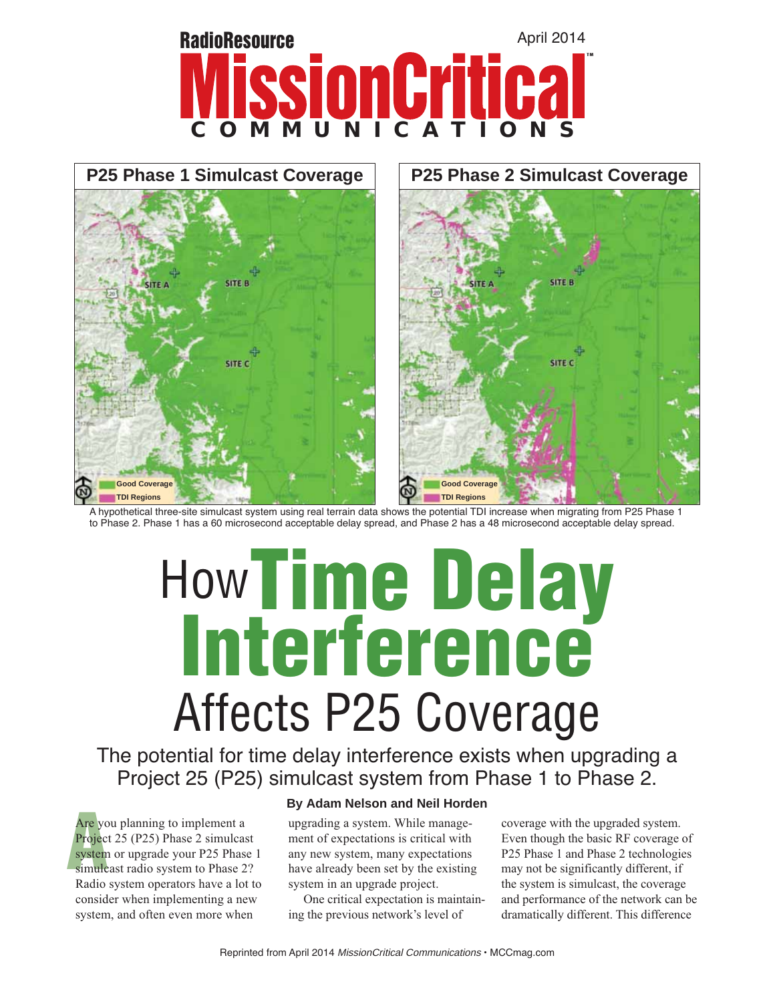



A hypothetical three-site simulcast system using real terrain data shows the potential TDI increase when migrating from P25 Phase 1 to Phase 2. Phase 1 has a 60 microsecond acceptable delay spread, and Phase 2 has a 48 microsecond acceptable delay spread.

# How**Time Delay Interference**

Affective Coverage interference exists when upget 25 (P25) simulcast system from Phase 1 to Ph The potential for time delay interference exists when upgrading a Project 25 (P25) simulcast system from Phase 1 to Phase 2.

Are you<br>Projec<br>system Are you planning to implement a Project 25 (P25) Phase 2 simulcast system or upgrade your P25 Phase 1 simulcast radio system to Phase 2? Radio system operators have a lot to consider when implementing a new system, and often even more when

# **By Adam Nelson and Neil Horden**

upgrading a system. While management of expectations is critical with any new system, many expectations have already been set by the existing system in an upgrade project.

 One critical expectation is maintaining the previous network's level of

coverage with the upgraded system. Even though the basic RF coverage of P25 Phase 1 and Phase 2 technologies may not be significantly different, if the system is simulcast, the coverage and performance of the network can be dramatically different. This difference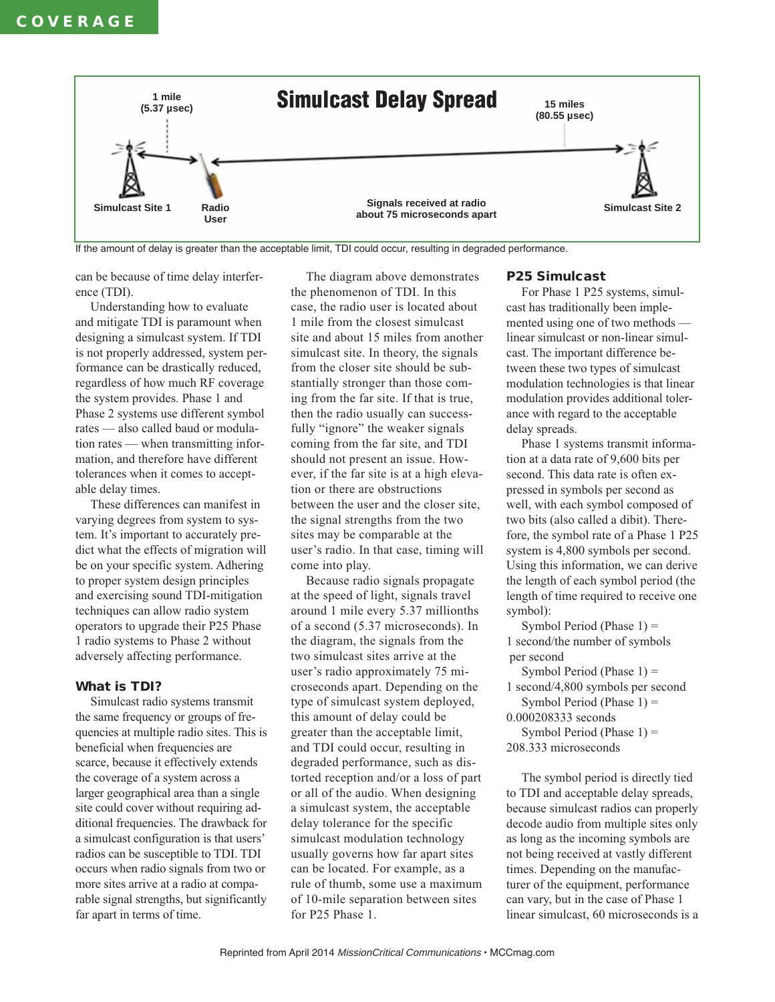

If the amount of delay is greater than the acceptable limit, TDI could occur, resulting in degraded performance.

can be because of time delay interference (TDI).

 Understanding how to evaluate and mitigate TDI is paramount when designing a simulcast system. If TDI is not properly addressed, system performance can be drastically reduced, regardless of how much RF coverage the system provides. Phase 1 and Phase 2 systems use different symbol rates — also called baud or modulation rates — when transmitting information, and therefore have different tolerances when it comes to acceptable delay times.

 These differences can manifest in varying degrees from system to system. It's important to accurately predict what the effects of migration will be on your specific system. Adhering to proper system design principles and exercising sound TDI-mitigation techniques can allow radio system operators to upgrade their P25 Phase 1 radio systems to Phase 2 without adversely affecting performance.

# **What is TDI?**

 Simulcast radio systems transmit the same frequency or groups of frequencies at multiple radio sites. This is beneficial when frequencies are scarce, because it effectively extends the coverage of a system across a larger geographical area than a single site could cover without requiring additional frequencies. The drawback for a simulcast configuration is that users' radios can be susceptible to TDI. TDI occurs when radio signals from two or more sites arrive at a radio at comparable signal strengths, but significantly far apart in terms of time.

 The diagram above demonstrates the phenomenon of TDI. In this case, the radio user is located about 1 mile from the closest simulcast site and about 15 miles from another simulcast site. In theory, the signals from the closer site should be substantially stronger than those coming from the far site. If that is true, then the radio usually can successfully "ignore" the weaker signals coming from the far site, and TDI should not present an issue. However, if the far site is at a high elevation or there are obstructions between the user and the closer site, the signal strengths from the two sites may be comparable at the user's radio. In that case, timing will come into play.

 Because radio signals propagate at the speed of light, signals travel around 1 mile every 5.37 millionths of a second (5.37 microseconds). In the diagram, the signals from the two simulcast sites arrive at the user's radio approximately 75 microseconds apart. Depending on the type of simulcast system deployed, this amount of delay could be greater than the acceptable limit, and TDI could occur, resulting in degraded performance, such as distorted reception and/or a loss of part or all of the audio. When designing a simulcast system, the acceptable delay tolerance for the specific simulcast modulation technology usually governs how far apart sites can be located. For example, as a rule of thumb, some use a maximum of 10-mile separation between sites for P25 Phase 1.

### **P25 Simulcast**

 For Phase 1 P25 systems, simulcast has traditionally been implemented using one of two methods linear simulcast or non-linear simulcast. The important difference between these two types of simulcast modulation technologies is that linear modulation provides additional tolerance with regard to the acceptable delay spreads.

 Phase 1 systems transmit information at a data rate of 9,600 bits per second. This data rate is often expressed in symbols per second as well, with each symbol composed of two bits (also called a dibit). Therefore, the symbol rate of a Phase 1 P25 system is 4,800 symbols per second. Using this information, we can derive the length of each symbol period (the length of time required to receive one symbol):

Symbol Period (Phase  $1$ ) = 1 second/the number of symbols per second

Symbol Period (Phase  $1$ ) = 1 second/4,800 symbols per second

Symbol Period (Phase  $1$ ) =

0.000208333 seconds

Symbol Period (Phase  $1$ ) = 208.333 microseconds

 The symbol period is directly tied to TDI and acceptable delay spreads, because simulcast radios can properly decode audio from multiple sites only as long as the incoming symbols are not being received at vastly different times. Depending on the manufacturer of the equipment, performance can vary, but in the case of Phase 1 linear simulcast, 60 microseconds is a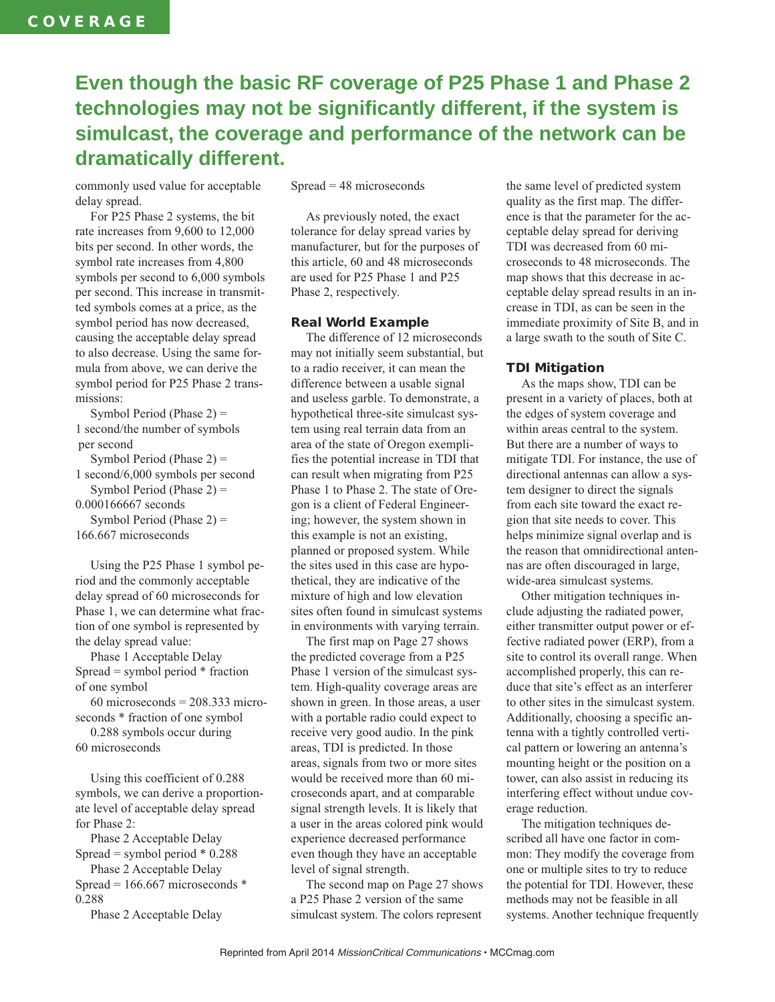# **Even though the basic RF coverage of P25 Phase 1 and Phase 2 technologies may not be significantly different, if the system is simulcast, the coverage and performance of the network can be dramatically different.**

commonly used value for acceptable delay spread.

 For P25 Phase 2 systems, the bit rate increases from 9,600 to 12,000 bits per second. In other words, the symbol rate increases from 4,800 symbols per second to 6,000 symbols per second. This increase in transmitted symbols comes at a price, as the symbol period has now decreased, causing the acceptable delay spread to also decrease. Using the same formula from above, we can derive the symbol period for P25 Phase 2 transmissions:

 Symbol Period (Phase 2) = 1 second/the number of symbols per second Symbol Period (Phase  $2$ ) = 1 second/6,000 symbols per second Symbol Period (Phase  $2$ ) = 0.000166667 seconds Symbol Period (Phase 2) = 166.667 microseconds

 Using the P25 Phase 1 symbol period and the commonly acceptable delay spread of 60 microseconds for Phase 1, we can determine what fraction of one symbol is represented by the delay spread value:

 Phase 1 Acceptable Delay Spread = symbol period  $*$  fraction of one symbol

 $60$  microseconds = 208.333 microseconds \* fraction of one symbol

 0.288 symbols occur during 60 microseconds

 Using this coefficient of 0.288 symbols, we can derive a proportionate level of acceptable delay spread for Phase 2:

 Phase 2 Acceptable Delay Spread = symbol period  $*$  0.288

 Phase 2 Acceptable Delay Spread =  $166.667$  microseconds  $*$ 

0.288

Phase 2 Acceptable Delay

Spread = 48 microseconds

 As previously noted, the exact tolerance for delay spread varies by manufacturer, but for the purposes of this article, 60 and 48 microseconds are used for P25 Phase 1 and P25 Phase 2, respectively.

# **Real World Example**

 The difference of 12 microseconds may not initially seem substantial, but to a radio receiver, it can mean the difference between a usable signal and useless garble. To demonstrate, a hypothetical three-site simulcast system using real terrain data from an area of the state of Oregon exemplifies the potential increase in TDI that can result when migrating from P25 Phase 1 to Phase 2. The state of Oregon is a client of Federal Engineering; however, the system shown in this example is not an existing, planned or proposed system. While the sites used in this case are hypothetical, they are indicative of the mixture of high and low elevation sites often found in simulcast systems in environments with varying terrain.

 The first map on Page 27 shows the predicted coverage from a P25 Phase 1 version of the simulcast system. High-quality coverage areas are shown in green. In those areas, a user with a portable radio could expect to receive very good audio. In the pink areas, TDI is predicted. In those areas, signals from two or more sites would be received more than 60 microseconds apart, and at comparable signal strength levels. It is likely that a user in the areas colored pink would experience decreased performance even though they have an acceptable level of signal strength.

 The second map on Page 27 shows a P25 Phase 2 version of the same simulcast system. The colors represent

the same level of predicted system quality as the first map. The difference is that the parameter for the acceptable delay spread for deriving TDI was decreased from 60 microseconds to 48 microseconds. The map shows that this decrease in acceptable delay spread results in an increase in TDI, as can be seen in the immediate proximity of Site B, and in a large swath to the south of Site C.

## **TDI Mitigation**

 As the maps show, TDI can be present in a variety of places, both at the edges of system coverage and within areas central to the system. But there are a number of ways to mitigate TDI. For instance, the use of directional antennas can allow a system designer to direct the signals from each site toward the exact region that site needs to cover. This helps minimize signal overlap and is the reason that omnidirectional antennas are often discouraged in large, wide-area simulcast systems.

 Other mitigation techniques include adjusting the radiated power, either transmitter output power or effective radiated power (ERP), from a site to control its overall range. When accomplished properly, this can reduce that site's effect as an interferer to other sites in the simulcast system. Additionally, choosing a specific antenna with a tightly controlled vertical pattern or lowering an antenna's mounting height or the position on a tower, can also assist in reducing its interfering effect without undue coverage reduction.

 The mitigation techniques described all have one factor in common: They modify the coverage from one or multiple sites to try to reduce the potential for TDI. However, these methods may not be feasible in all systems. Another technique frequently